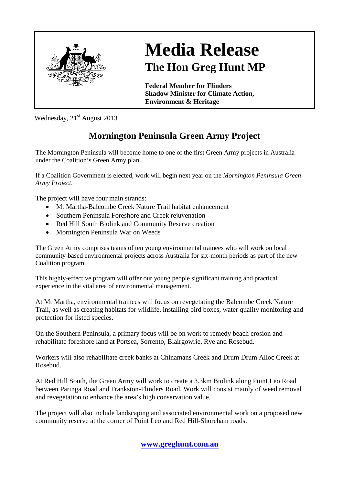

## **Media Release The Hon Greg Hunt MP**

**Federal Member for Flinders Shadow Minister for Climate Action, Environment & Heritage**

Wednesday,  $21<sup>st</sup>$  August 2013

## **Mornington Peninsula Green Army Project**

The Mornington Peninsula will become home to one of the first Green Army projects in Australia under the Coalition's Green Army plan.

If a Coalition Government is elected, work will begin next year on the *Mornington Peninsula Green Army Project*.

The project will have four main strands:

- Mt Martha-Balcombe Creek Nature Trail habitat enhancement
- Southern Peninsula Foreshore and Creek rejuvenation
- Red Hill South Biolink and Community Reserve creation
- Mornington Peninsula War on Weeds

The Green Army comprises teams of ten young environmental trainees who will work on local community-based environmental projects across Australia for six-month periods as part of the new Coalition program.

This highly-effective program will offer our young people significant training and practical experience in the vital area of environmental management.

At Mt Martha, environmental trainees will focus on revegetating the Balcombe Creek Nature Trail, as well as creating habitats for wildlife, installing bird boxes, water quality monitoring and protection for listed species.

On the Southern Peninsula, a primary focus will be on work to remedy beach erosion and rehabilitate foreshore land at Portsea, Sorrento, Blairgowrie, Rye and Rosebud.

Workers will also rehabilitate creek banks at Chinamans Creek and Drum Drum Alloc Creek at Rosebud.

At Red Hill South, the Green Army will work to create a 3.3km Biolink along Point Leo Road between Paringa Road and Frankston-Flinders Road. Work will consist mainly of weed removal and revegetation to enhance the area's high conservation value.

The project will also include landscaping and associated environmental work on a proposed new community reserve at the corner of Point Leo and Red Hill-Shoreham roads.